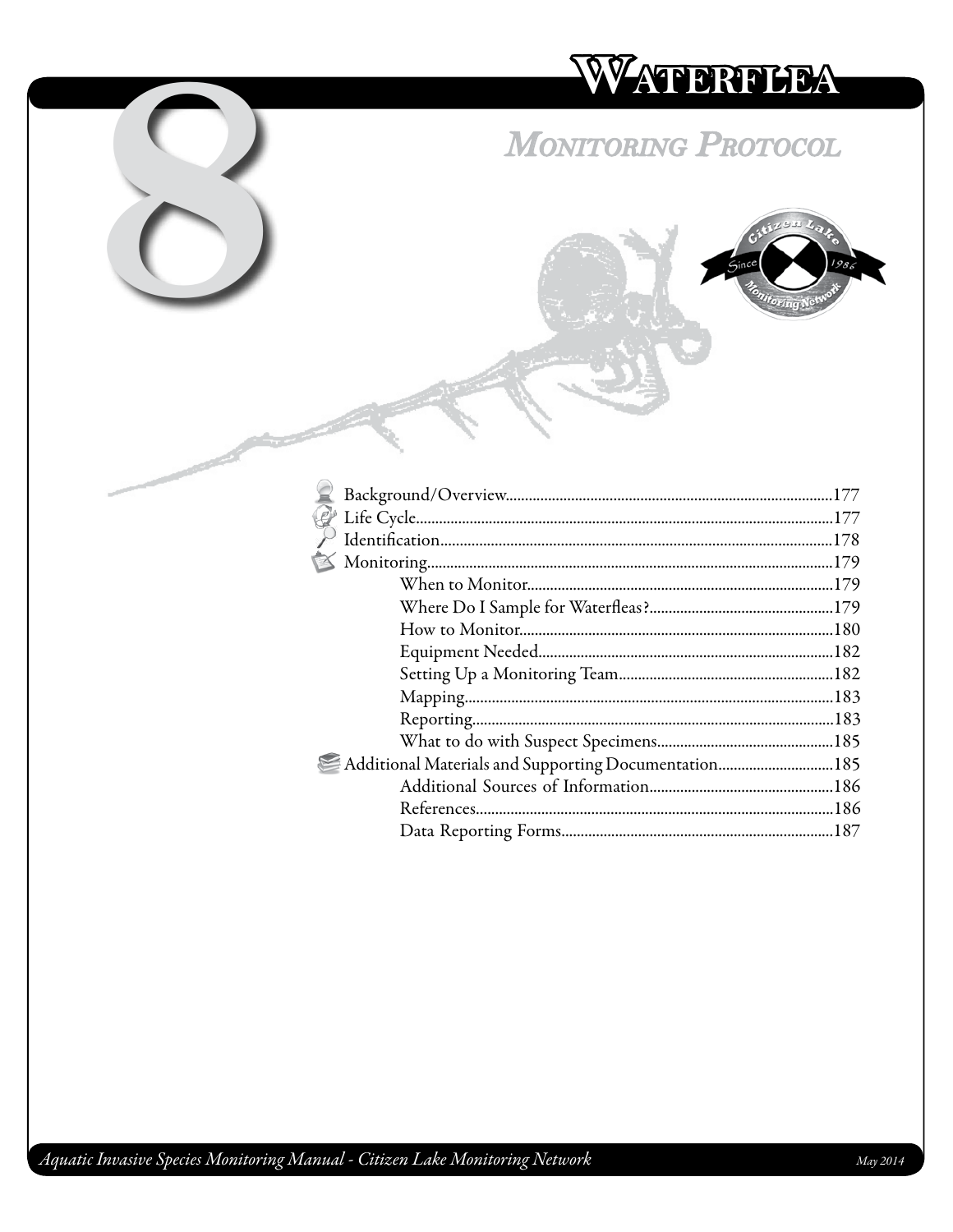# WATERTHEA

## **MONITORING PROTOCOL**



| Additional Materials and Supporting Documentation185 |  |
|------------------------------------------------------|--|
|                                                      |  |
|                                                      |  |
|                                                      |  |
|                                                      |  |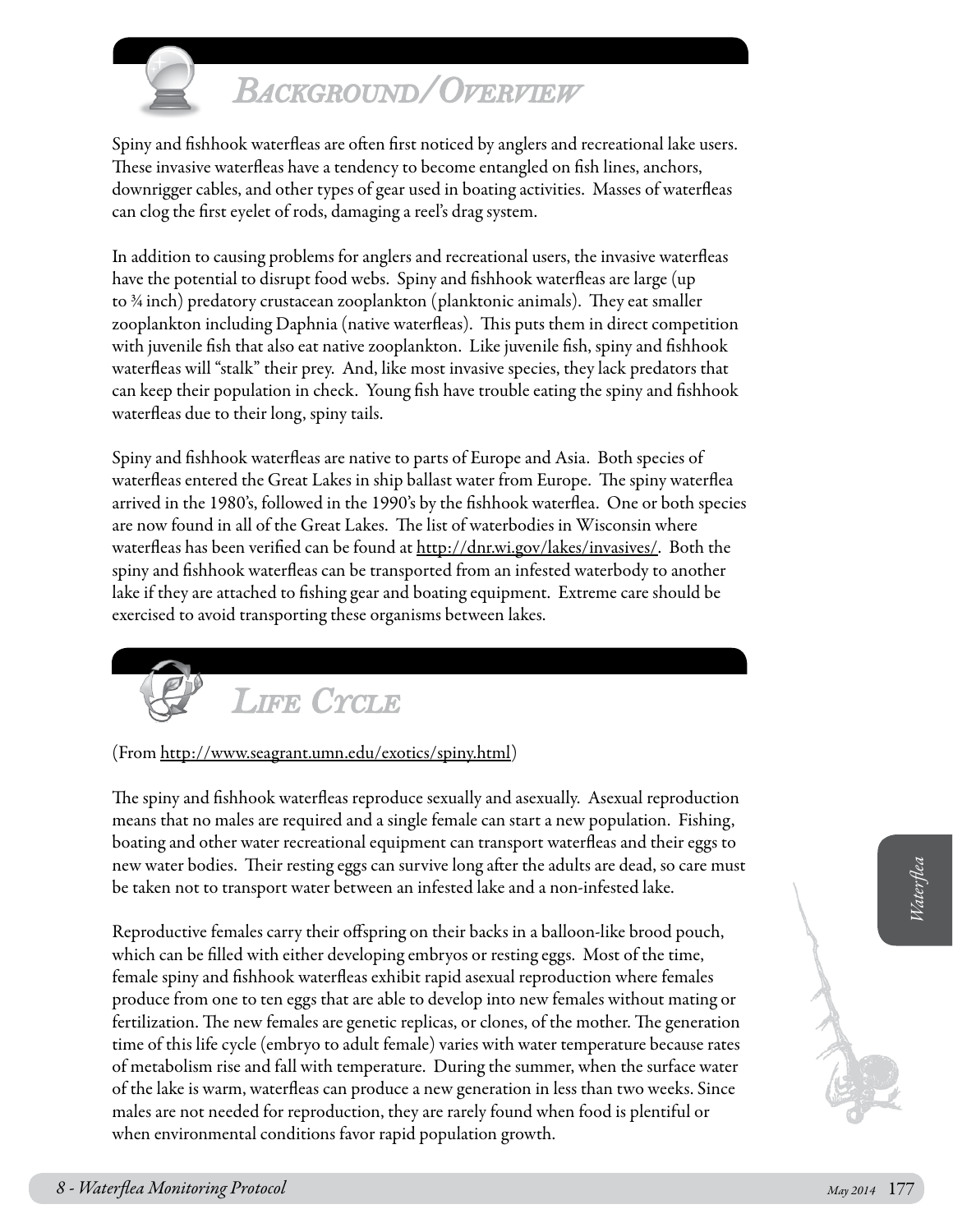

## *Background/Overview*

Spiny and fishhook waterfleas are often first noticed by anglers and recreational lake users. These invasive waterfleas have a tendency to become entangled on fish lines, anchors, downrigger cables, and other types of gear used in boating activities. Masses of waterfleas can clog the first eyelet of rods, damaging a reel's drag system.

In addition to causing problems for anglers and recreational users, the invasive waterfleas have the potential to disrupt food webs. Spiny and fishhook waterfleas are large (up to ¾ inch) predatory crustacean zooplankton (planktonic animals). They eat smaller zooplankton including Daphnia (native waterfleas). This puts them in direct competition with juvenile fish that also eat native zooplankton. Like juvenile fish, spiny and fishhook waterfleas will "stalk" their prey. And, like most invasive species, they lack predators that can keep their population in check. Young fish have trouble eating the spiny and fishhook waterfleas due to their long, spiny tails.

Spiny and fishhook waterfleas are native to parts of Europe and Asia. Both species of waterfleas entered the Great Lakes in ship ballast water from Europe. The spiny waterflea arrived in the 1980's, followed in the 1990's by the fishhook waterflea. One or both species are now found in all of the Great Lakes. The list of waterbodies in Wisconsin where waterfleas has been verified can be found at [http://dnr.wi.gov/lakes/invasives/.](http://dnr.wi.gov/org/water/fhp/lakes/lakemap/) Both the spiny and fishhook waterfleas can be transported from an infested waterbody to another lake if they are attached to fishing gear and boating equipment. Extreme care should be exercised to avoid transporting these organisms between lakes.



#### (From [http://www.seagrant.umn.edu/exotics/spiny.html\)](http://clean-water.uwex.edu/pubs/pdf/inv.purple.pdf)

The spiny and fishhook waterfleas reproduce sexually and asexually. Asexual reproduction means that no males are required and a single female can start a new population. Fishing, boating and other water recreational equipment can transport waterfleas and their eggs to new water bodies. Their resting eggs can survive long after the adults are dead, so care must be taken not to transport water between an infested lake and a non-infested lake.

new water bodies. Their resting eggs can survive long after the adults are dead, so care must<br>be taken not to transport water between an infested lake and a non-infested lake.<br>Reproductive females carry their offspring on Reproductive females carry their offspring on their backs in a balloon-like brood pouch, which can be filled with either developing embryos or resting eggs. Most of the time, female spiny and fishhook waterfleas exhibit rapid asexual reproduction where females produce from one to ten eggs that are able to develop into new females without mating or fertilization. The new females are genetic replicas, or clones, of the mother. The generation time of this life cycle (embryo to adult female) varies with water temperature because rates of metabolism rise and fall with temperature. During the summer, when the surface water of the lake is warm, waterfleas can produce a new generation in less than two weeks. Since males are not needed for reproduction, they are rarely found when food is plentiful or when environmental conditions favor rapid population growth.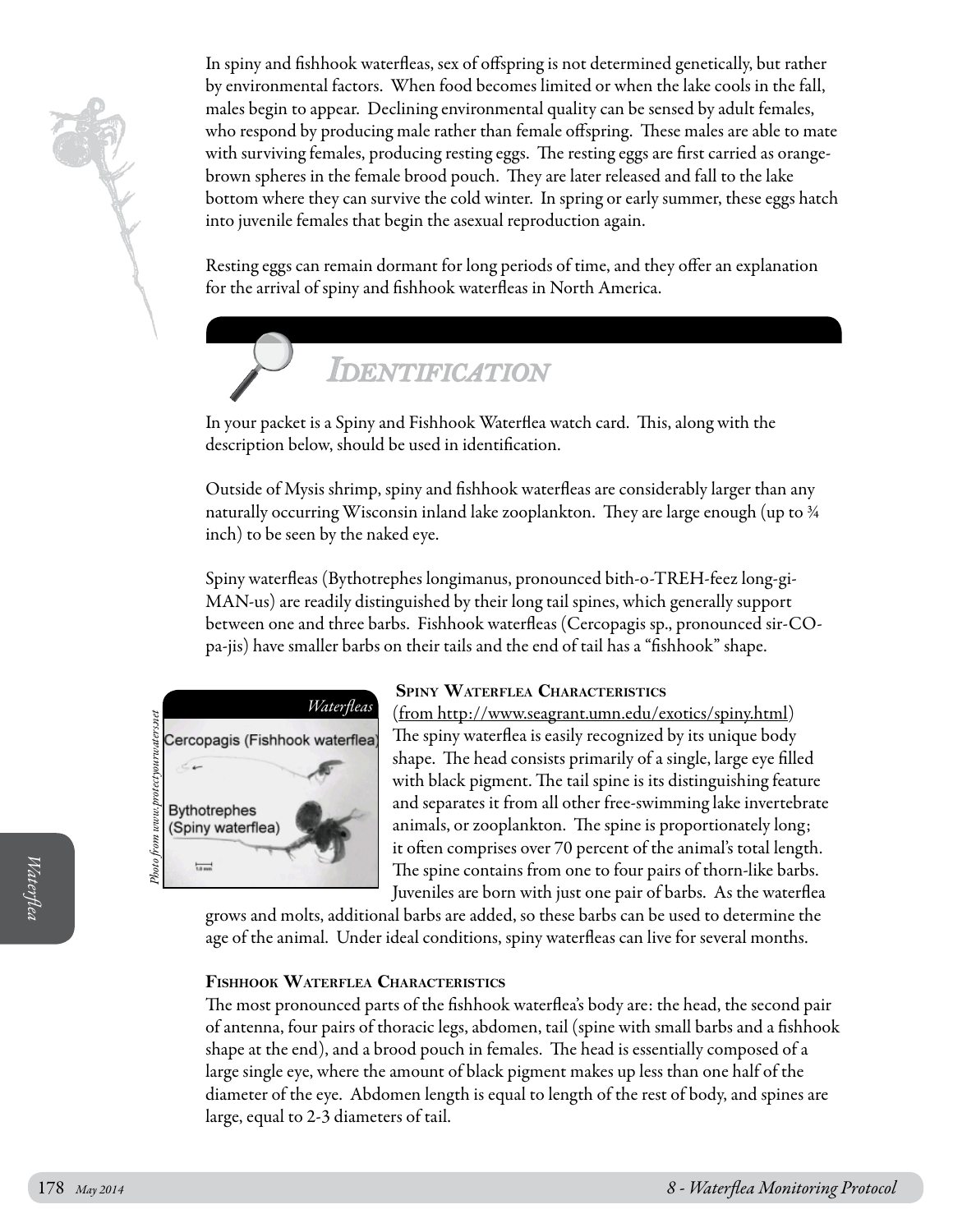

In spiny and fishhook waterfleas, sex of offspring is not determined genetically, but rather by environmental factors. When food becomes limited or when the lake cools in the fall, males begin to appear. Declining environmental quality can be sensed by adult females, who respond by producing male rather than female offspring. These males are able to mate with surviving females, producing resting eggs. The resting eggs are first carried as orangebrown spheres in the female brood pouch. They are later released and fall to the lake bottom where they can survive the cold winter. In spring or early summer, these eggs hatch into juvenile females that begin the asexual reproduction again.

Resting eggs can remain dormant for long periods of time, and they offer an explanation for the arrival of spiny and fishhook waterfleas in North America.

## *Identification*

In your packet is a Spiny and Fishhook Waterflea watch card. This, along with the description below, should be used in identification.

Outside of Mysis shrimp, spiny and fishhook waterfleas are considerably larger than any naturally occurring Wisconsin inland lake zooplankton. They are large enough (up to ¾ inch) to be seen by the naked eye.

Spiny waterfleas (Bythotrephes longimanus, pronounced bith-o-TREH-feez long-gi-MAN-us) are readily distinguished by their long tail spines, which generally support between one and three barbs. Fishhook waterfleas (Cercopagis sp., pronounced sir-COpa-jis) have smaller barbs on their tails and the end of tail has a "fishhook" shape.



#### **Spiny Waterflea Characteristics**

(from http://www.seagrant.umn.edu/exotics/spiny.html) The spiny waterflea is easily recognized by its unique body shape. The head consists primarily of a single, large eye filled with black pigment. The tail spine is its distinguishing feature and separates it from all other free-swimming lake invertebrate animals, or zooplankton. The spine is proportionately long; it often comprises over 70 percent of the animal's total length. The spine contains from one to four pairs of thorn-like barbs. Juveniles are born with just one pair of barbs. As the waterflea

grows and molts, additional barbs are added, so these barbs can be used to determine the age of the animal. Under ideal conditions, spiny waterfleas can live for several months.

#### **Fishhook Waterflea Characteristics**

The spine contains from one to four pairs of thorn-like barbs.<br>
Juveniles are born with just one pair of barbs. As the waterflea<br>
grows and molts, additional barbs are added, so these barbs can be used to determine the<br>
ag The most pronounced parts of the fishhook waterflea's body are: the head, the second pair of antenna, four pairs of thoracic legs, abdomen, tail (spine with small barbs and a fishhook shape at the end), and a brood pouch in females. The head is essentially composed of a large single eye, where the amount of black pigment makes up less than one half of the diameter of the eye. Abdomen length is equal to length of the rest of body, and spines are large, equal to 2-3 diameters of tail.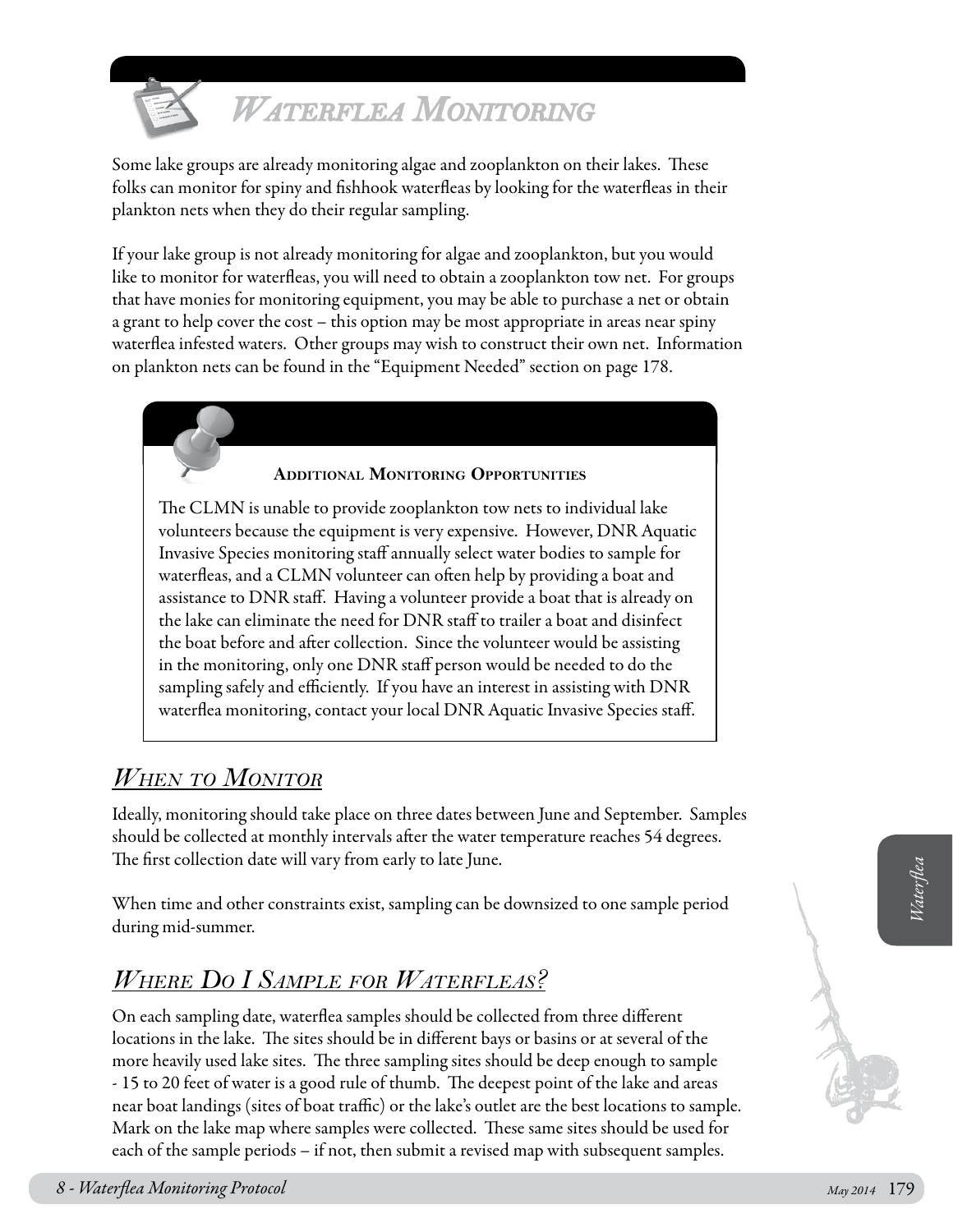

## *Waterflea Monitoring*

Some lake groups are already monitoring algae and zooplankton on their lakes. These folks can monitor for spiny and fishhook waterfleas by looking for the waterfleas in their plankton nets when they do their regular sampling.

If your lake group is not already monitoring for algae and zooplankton, but you would like to monitor for waterfleas, you will need to obtain a zooplankton tow net. For groups that have monies for monitoring equipment, you may be able to purchase a net or obtain a grant to help cover the cost – this option may be most appropriate in areas near spiny waterflea infested waters. Other groups may wish to construct their own net. Information on plankton nets can be found in the "Equipment Needed" section on page 178.

#### **Additional Monitoring Opportunities**

The CLMN is unable to provide zooplankton tow nets to individual lake volunteers because the equipment is very expensive. However, DNR Aquatic Invasive Species monitoring staff annually select water bodies to sample for waterfleas, and a CLMN volunteer can often help by providing a boat and assistance to DNR staff. Having a volunteer provide a boat that is already on the lake can eliminate the need for DNR staff to trailer a boat and disinfect the boat before and after collection. Since the volunteer would be assisting in the monitoring, only one DNR staff person would be needed to do the sampling safely and efficiently. If you have an interest in assisting with DNR waterflea monitoring, contact your local DNR Aquatic Invasive Species staff.

## *When to Monitor*

Ideally, monitoring should take place on three dates between June and September. Samples should be collected at monthly intervals after the water temperature reaches 54 degrees. The first collection date will vary from early to late June.

When time and other constraints exist, sampling can be downsized to one sample period during mid-summer.

## *Where Do I Sample for Waterfleas?*

*Be interime and other constraints exist, sampling can be downsized to one sample period<br>
When time and other constraints exist, sampling can be downsized to one sample period<br>
<i>WHERE DO I SAMPLE FOR WATERFLEAS?*<br>
On each On each sampling date, waterflea samples should be collected from three different locations in the lake. The sites should be in different bays or basins or at several of the more heavily used lake sites. The three sampling sites should be deep enough to sample - 15 to 20 feet of water is a good rule of thumb. The deepest point of the lake and areas near boat landings (sites of boat traffic) or the lake's outlet are the best locations to sample. Mark on the lake map where samples were collected. These same sites should be used for each of the sample periods – if not, then submit a revised map with subsequent samples.

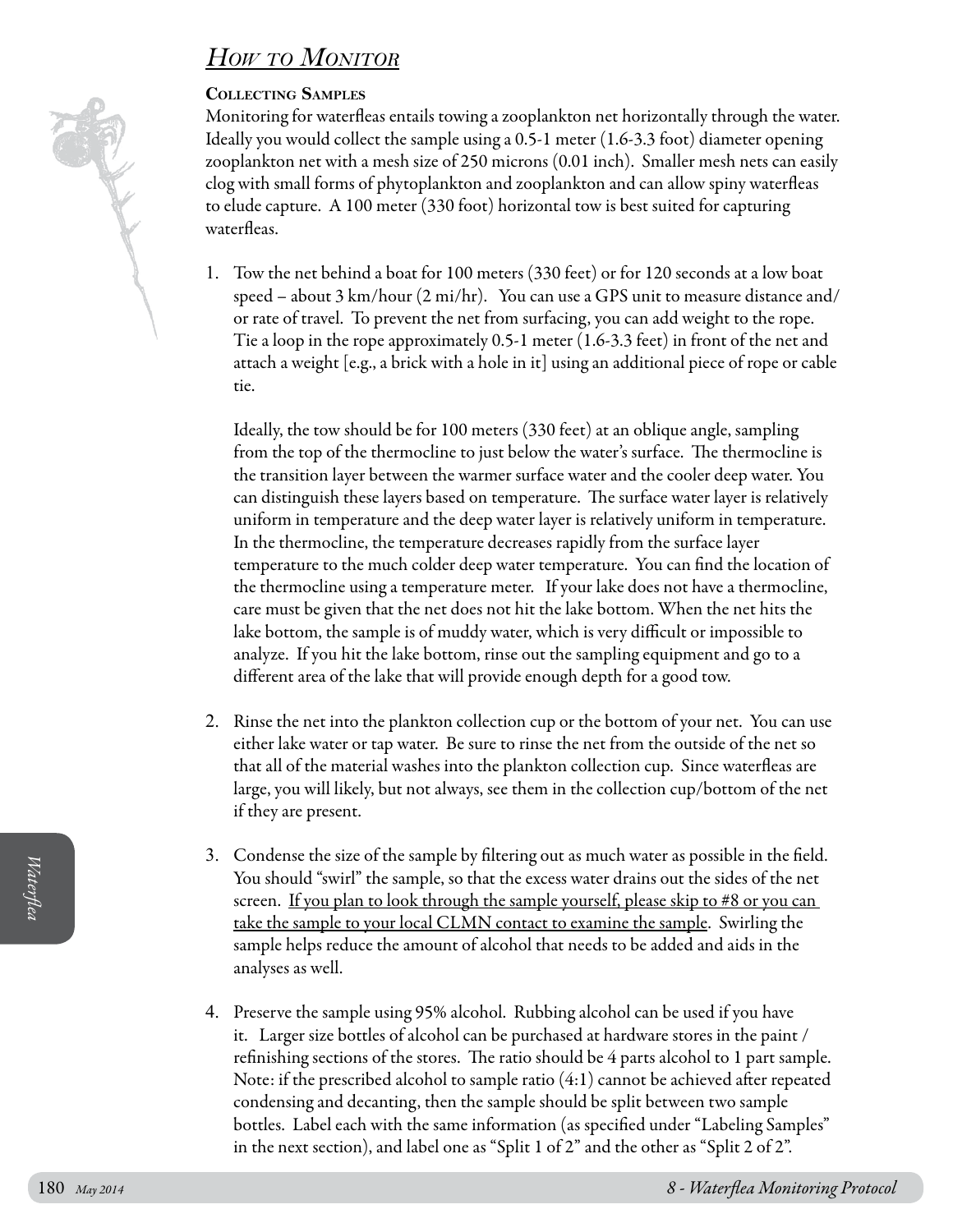## *How to Monitor*

#### **Collecting Samples**

Monitoring for waterfleas entails towing a zooplankton net horizontally through the water. Ideally you would collect the sample using a 0.5-1 meter (1.6-3.3 foot) diameter opening zooplankton net with a mesh size of 250 microns (0.01 inch). Smaller mesh nets can easily clog with small forms of phytoplankton and zooplankton and can allow spiny waterfleas to elude capture. A 100 meter (330 foot) horizontal tow is best suited for capturing waterfleas.

1. Tow the net behind a boat for 100 meters (330 feet) or for 120 seconds at a low boat speed – about 3 km/hour (2 mi/hr). You can use a GPS unit to measure distance and/ or rate of travel. To prevent the net from surfacing, you can add weight to the rope. Tie a loop in the rope approximately 0.5-1 meter (1.6-3.3 feet) in front of the net and attach a weight [e.g., a brick with a hole in it] using an additional piece of rope or cable tie.

Ideally, the tow should be for 100 meters (330 feet) at an oblique angle, sampling from the top of the thermocline to just below the water's surface. The thermocline is the transition layer between the warmer surface water and the cooler deep water. You can distinguish these layers based on temperature. The surface water layer is relatively uniform in temperature and the deep water layer is relatively uniform in temperature. In the thermocline, the temperature decreases rapidly from the surface layer temperature to the much colder deep water temperature. You can find the location of the thermocline using a temperature meter. If your lake does not have a thermocline, care must be given that the net does not hit the lake bottom. When the net hits the lake bottom, the sample is of muddy water, which is very difficult or impossible to analyze. If you hit the lake bottom, rinse out the sampling equipment and go to a different area of the lake that will provide enough depth for a good tow.

- 2. Rinse the net into the plankton collection cup or the bottom of your net. You can use either lake water or tap water. Be sure to rinse the net from the outside of the net so that all of the material washes into the plankton collection cup. Since waterfleas are large, you will likely, but not always, see them in the collection cup/bottom of the net if they are present.
- 3. Condense the size of the sample by filtering out as much water as possible in the field. You should "swirl" the sample, so that the excess water drains out the sides of the net screen. If you plan to look through the sample yourself, please skip to #8 or you can take the sample to your local CLMN contact to examine the sample. Swirling the sample helps reduce the amount of alcohol that needs to be added and aids in the analyses as well.
- 180<br>
1800 Mould "swirl" the sample, so that the excess water drains out the sides of the net<br>
1800 Mould "swirl" the sample to your local CLMN contact to examine the sample. Swirling the<br>
1820 smaple protocolel CLMN contac 4. Preserve the sample using 95% alcohol. Rubbing alcohol can be used if you have it. Larger size bottles of alcohol can be purchased at hardware stores in the paint / refinishing sections of the stores. The ratio should be 4 parts alcohol to 1 part sample. Note: if the prescribed alcohol to sample ratio (4:1) cannot be achieved after repeated condensing and decanting, then the sample should be split between two sample bottles. Label each with the same information (as specified under "Labeling Samples" in the next section), and label one as "Split 1 of 2" and the other as "Split 2 of 2".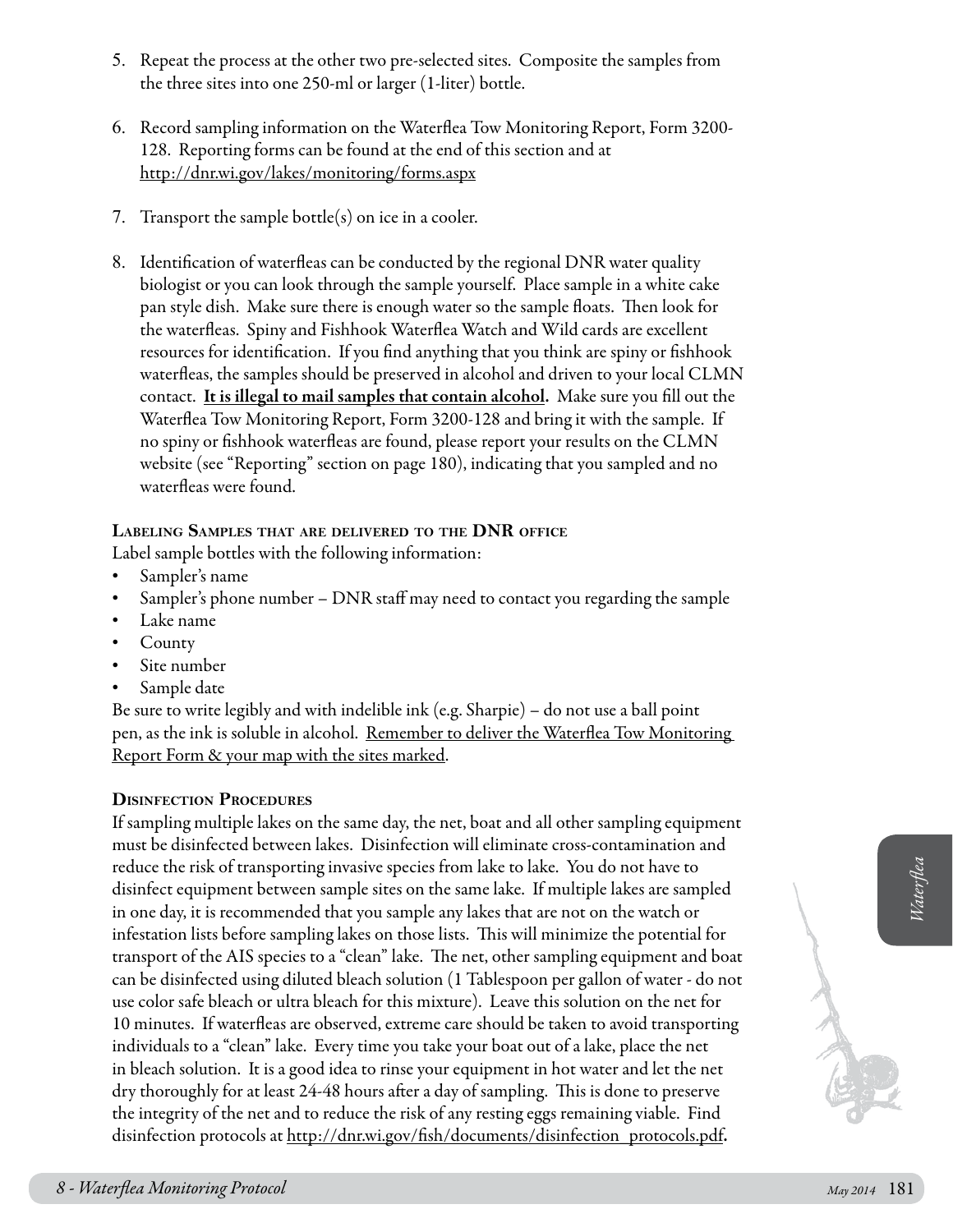- 5. Repeat the process at the other two pre-selected sites. Composite the samples from the three sites into one 250-ml or larger (1-liter) bottle.
- 6. Record sampling information on the Waterflea Tow Monitoring Report, Form 3200- 128. Reporting forms can be found at the end of this section and at [http://dnr.wi.gov/lakes/monitori](http://clean-water.uwex.edu/pubs/pdf/inv.purple.pdf)ng/forms.aspx
- 7. Transport the sample bottle(s) on ice in a cooler.
- 8. Identification of waterfleas can be conducted by the regional DNR water quality biologist or you can look through the sample yourself. Place sample in a white cake pan style dish. Make sure there is enough water so the sample floats. Then look for the waterfleas. Spiny and Fishhook Waterflea Watch and Wild cards are excellent resources for identification. If you find anything that you think are spiny or fishhook waterfleas, the samples should be preserved in alcohol and driven to your local CLMN contact. It is illegal to mail samples that contain alcohol. Make sure you fill out the Waterflea Tow Monitoring Report, Form 3200-128 and bring it with the sample. If no spiny or fishhook waterfleas are found, please report your results on the CLMN website (see "Reporting" section on page 180), indicating that you sampled and no waterfleas were found.

#### **Labeling Samples that are delivered to the DNR office**

Label sample bottles with the following information:

- Sampler's name
- Sampler's phone number  $-$  DNR staff may need to contact you regarding the sample
- Lake name
- **County**
- Site number
- Sample date

Be sure to write legibly and with indelible ink (e.g. Sharpie) – do not use a ball point pen, as the ink is soluble in alcohol. <u>Remember to deliver the Waterflea Tow Monitoring</u> Report Form & your map with the sites marked.

#### **Disinfection Procedures**

reduce the risk of transporting invasive species from lake to lake. You do not have to<br>disinfect equipment between sample sites on the same lake. If multiple lakes are sampled<br>in one cas, it is recommended that you sample If sampling multiple lakes on the same day, the net, boat and all other sampling equipment must be disinfected between lakes. Disinfection will eliminate cross-contamination and reduce the risk of transporting invasive species from lake to lake. You do not have to disinfect equipment between sample sites on the same lake. If multiple lakes are sampled in one day, it is recommended that you sample any lakes that are not on the watch or infestation lists before sampling lakes on those lists. This will minimize the potential for transport of the AIS species to a "clean" lake. The net, other sampling equipment and boat can be disinfected using diluted bleach solution (1 Tablespoon per gallon of water - do not use color safe bleach or ultra bleach for this mixture). Leave this solution on the net for 10 minutes. If waterfleas are observed, extreme care should be taken to avoid transporting individuals to a "clean" lake. Every time you take your boat out of a lake, place the net in bleach solution. It is a good idea to rinse your equipment in hot water and let the net dry thoroughly for at least 24-48 hours after a day of sampling. This is done to preserve the integrity of the net and to reduce the risk of any resting eggs remaining viable. Find disinfection protocols at http://dnr.wi.gov/fish/documents/disinfection\_protocols.pdf.

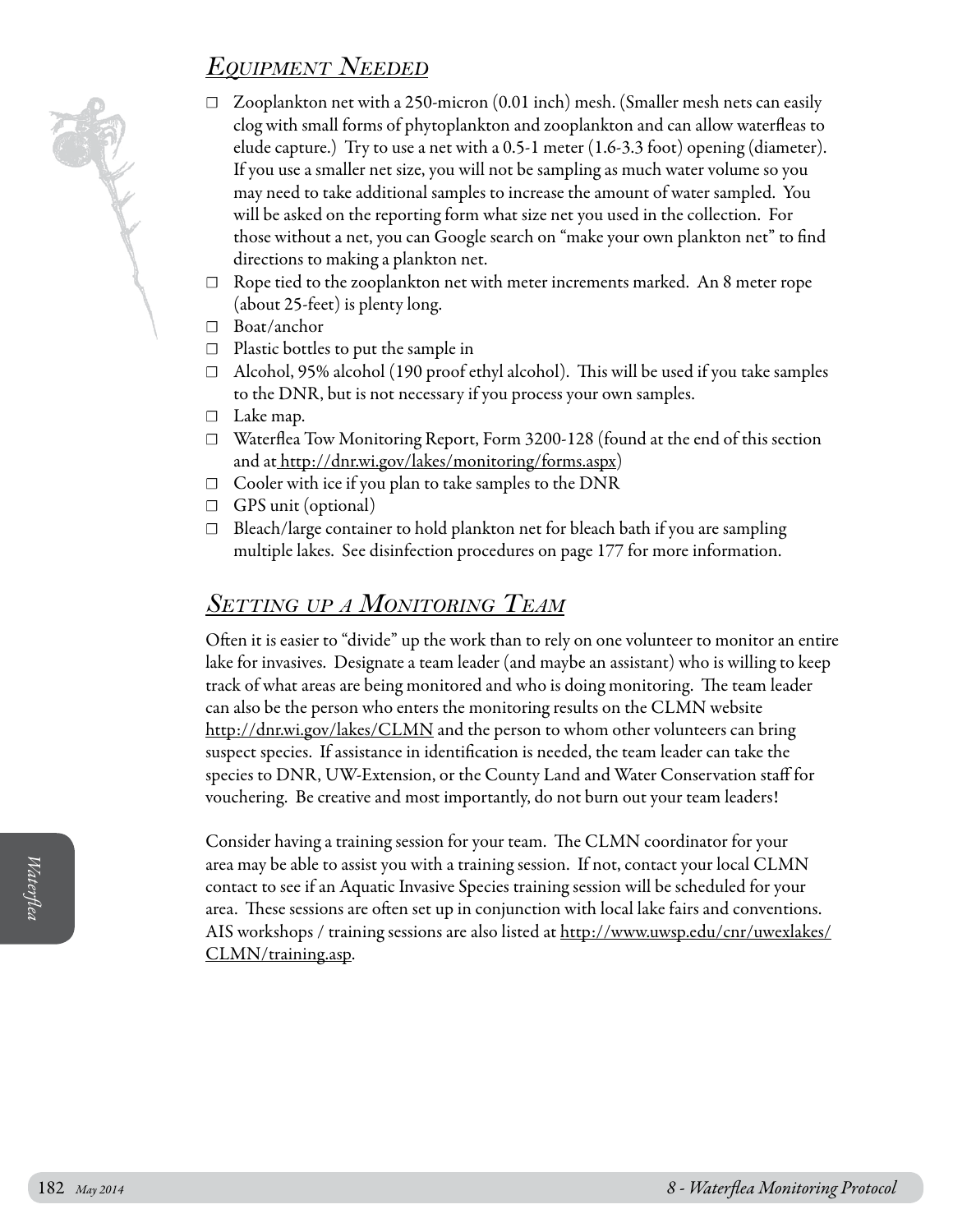## *Equipment Needed*

- $\Box$  Zooplankton net with a 250-micron (0.01 inch) mesh. (Smaller mesh nets can easily clog with small forms of phytoplankton and zooplankton and can allow waterfleas to elude capture.) Try to use a net with a 0.5-1 meter (1.6-3.3 foot) opening (diameter). If you use a smaller net size, you will not be sampling as much water volume so you may need to take additional samples to increase the amount of water sampled. You will be asked on the reporting form what size net you used in the collection. For those without a net, you can Google search on "make your own plankton net" to find directions to making a plankton net.
- $\Box$  Rope tied to the zooplankton net with meter increments marked. An 8 meter rope (about 25-feet) is plenty long.
- ☐ Boat/anchor
- ☐ Plastic bottles to put the sample in
- $\Box$  Alcohol, 95% alcohol (190 proof ethyl alcohol). This will be used if you take samples to the DNR, but is not necessary if you process your own samples.
- ☐ Lake map.
- ☐ Waterflea Tow Monitoring Report, Form 3200-128 (found at the end of this section and at http://dnr.wi.gov/lakes/monitoring/forms.aspx)
- $\Box$  Cooler with ice if you plan to take samples to the DNR
- ☐ GPS unit (optional)
- ☐ Bleach/large container to hold plankton net for bleach bath if you are sampling multiple lakes. See disinfection procedures on page 177 for more information.

### *Setting up a Monitoring Team*

Often it is easier to "divide" up the work than to rely on one volunteer to monitor an entire lake for invasives. Designate a team leader (and maybe an assistant) who is willing to keep track of what areas are being monitored and who is doing monitoring. The team leader can also be the person who enters the monitoring results on the CLMN website http://dnr.wi.gov/lakes/CLMN and the person to whom other volunteers can bring suspect species. If assistance in identification is needed, the team leader can take the species to DNR, UW-Extension, or the County Land and Water Conservation staff for vouchering. Be creative and most importantly, do not burn out your team leaders!

area may be able to assist you with a training session. If not, contact your local CLMN<br>contact to see if an Aquatic Invasive Species training session will be scheduled for your<br>area. These sessions are often set up in con Consider having a training session for your team. The CLMN coordinator for your area may be able to assist you with a training session. If not, contact your local CLMN contact to see if an Aquatic Invasive Species training session will be scheduled for your area. These sessions are often set up in conjunction with local lake fairs and conventions. AIS workshops / training sessions are also listed at [http://www.uwsp.edu/cnr/uwexlakes/](http://clean-water.uwex.edu/pubs/pdf/inv.purple.pdf) [CLMN/training.asp.](http://clean-water.uwex.edu/pubs/pdf/inv.purple.pdf)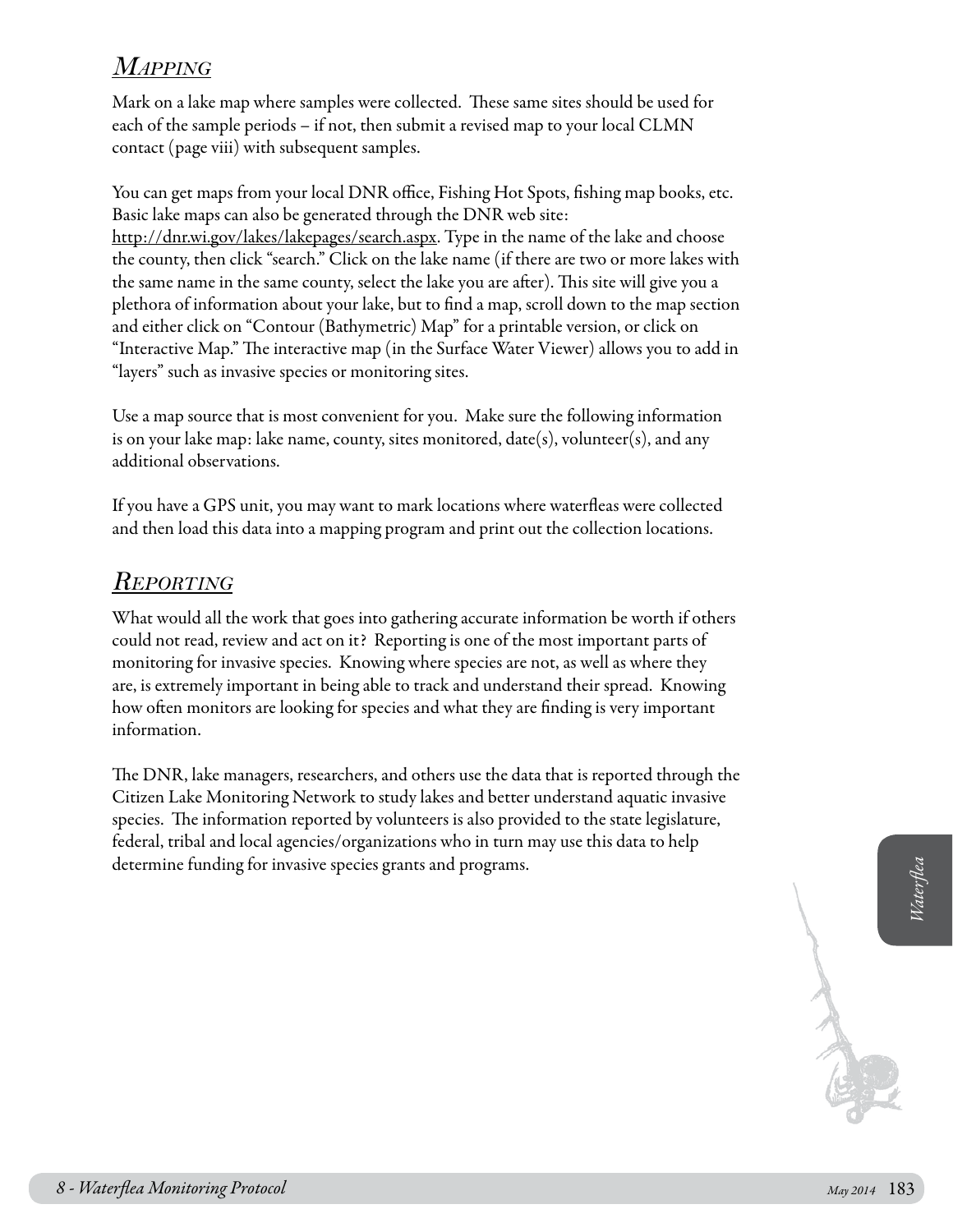## *Mapping*

Mark on a lake map where samples were collected. These same sites should be used for each of the sample periods – if not, then submit a revised map to your local CLMN contact (page viii) with subsequent samples.

You can get maps from your local DNR office, Fishing Hot Spots, fishing map books, etc. Basic lake maps can also be generated through the DNR web site: http://dnr.wi.gov/lakes/lakepages/search.aspx. Type in the name of the lake and choose the county, then click "search." Click on the lake name (if there are two or more lakes with the same name in the same county, select the lake you are after). This site will give you a plethora of information about your lake, but to find a map, scroll down to the map section and either click on "Contour (Bathymetric) Map" for a printable version, or click on "Interactive Map." The interactive map (in the Surface Water Viewer) allows you to add in "layers" such as invasive species or monitoring sites.

Use a map source that is most convenient for you. Make sure the following information is on your lake map: lake name, county, sites monitored,  $date(s)$ , volunteer(s), and any additional observations.

If you have a GPS unit, you may want to mark locations where waterfleas were collected and then load this data into a mapping program and print out the collection locations.

### *Reporting*

What would all the work that goes into gathering accurate information be worth if others could not read, review and act on it? Reporting is one of the most important parts of monitoring for invasive species. Knowing where species are not, as well as where they are, is extremely important in being able to track and understand their spread. Knowing how often monitors are looking for species and what they are finding is very important information.

*8 - Waterflea Monitoring Protocol May 2014* <sup>183</sup> *Waterflea* The DNR, lake managers, researchers, and others use the data that is reported through the Citizen Lake Monitoring Network to study lakes and better understand aquatic invasive species. The information reported by volunteers is also provided to the state legislature, federal, tribal and local agencies/organizations who in turn may use this data to help determine funding for invasive species grants and programs.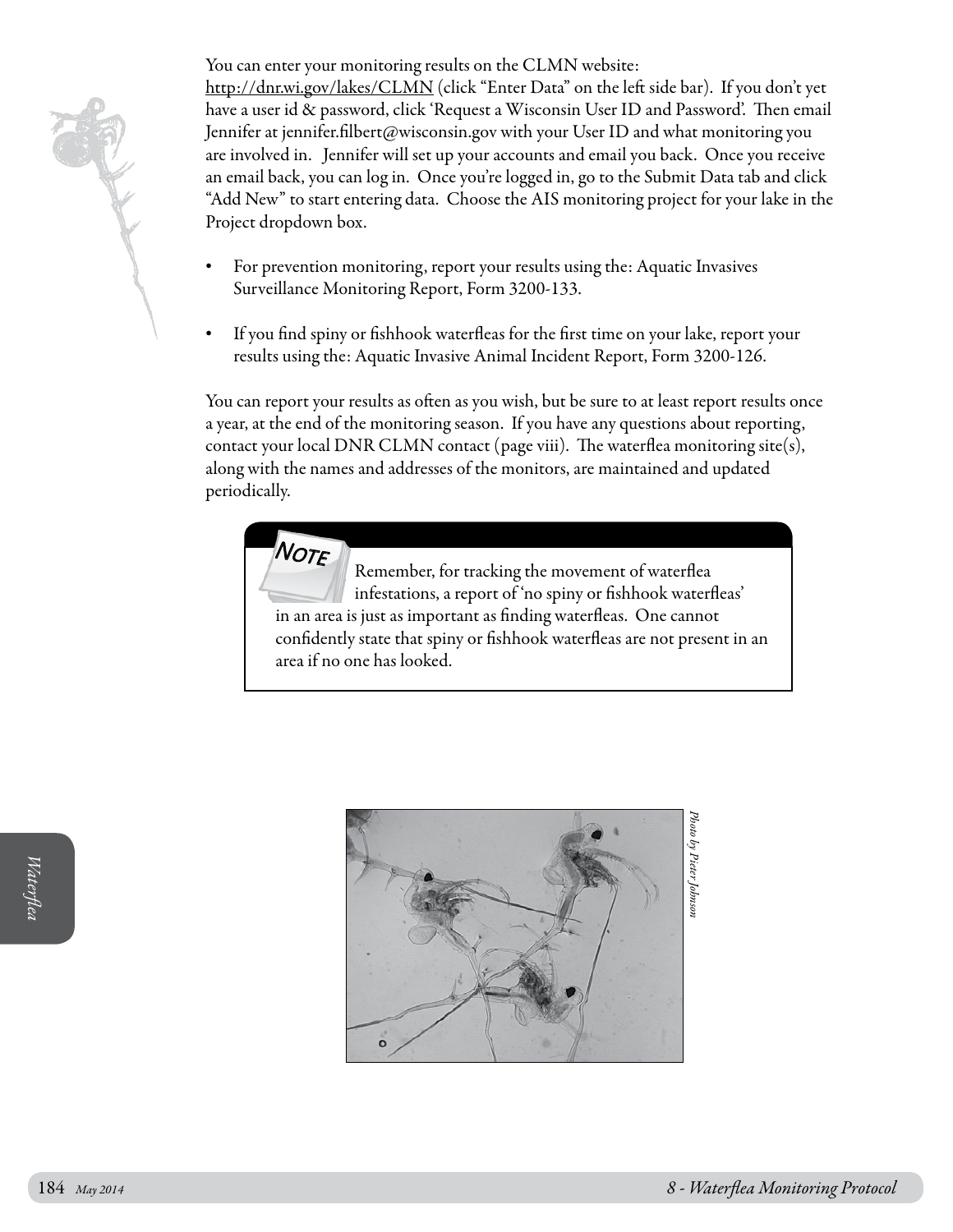You can enter your monitoring results on the CLMN website:

[http://dnr.wi.gov/lakes/CLMN](http://clean-water.uwex.edu/pubs/pdf/inv.purple.pdf) (click "Enter Data" on the left side bar). If you don't yet have a user id & password, click 'Request a Wisconsin User ID and Password'. Then email Jennifer at jennifer.filbert@wisconsin.gov with your User ID and what monitoring you are involved in. Jennifer will set up your accounts and email you back. Once you receive an email back, you can log in. Once you're logged in, go to the Submit Data tab and click "Add New" to start entering data. Choose the AIS monitoring project for your lake in the Project dropdown box.

- For prevention monitoring, report your results using the: Aquatic Invasives Surveillance Monitoring Report, Form 3200-133.
- If you find spiny or fishhook waterfleas for the first time on your lake, report your results using the: Aquatic Invasive Animal Incident Report, Form 3200-126.

You can report your results as often as you wish, but be sure to at least report results once a year, at the end of the monitoring season. If you have any questions about reporting, contact your local DNR CLMN contact (page viii). The waterflea monitoring site(s), along with the names and addresses of the monitors, are maintained and updated periodically.

> NOTE Remember, for tracking the movement of waterflea infestations, a report of 'no spiny or fishhook waterfleas' in an area is just as important as finding waterfleas. One cannot confidently state that spiny or fishhook waterfleas are not present in an area if no one has looked.

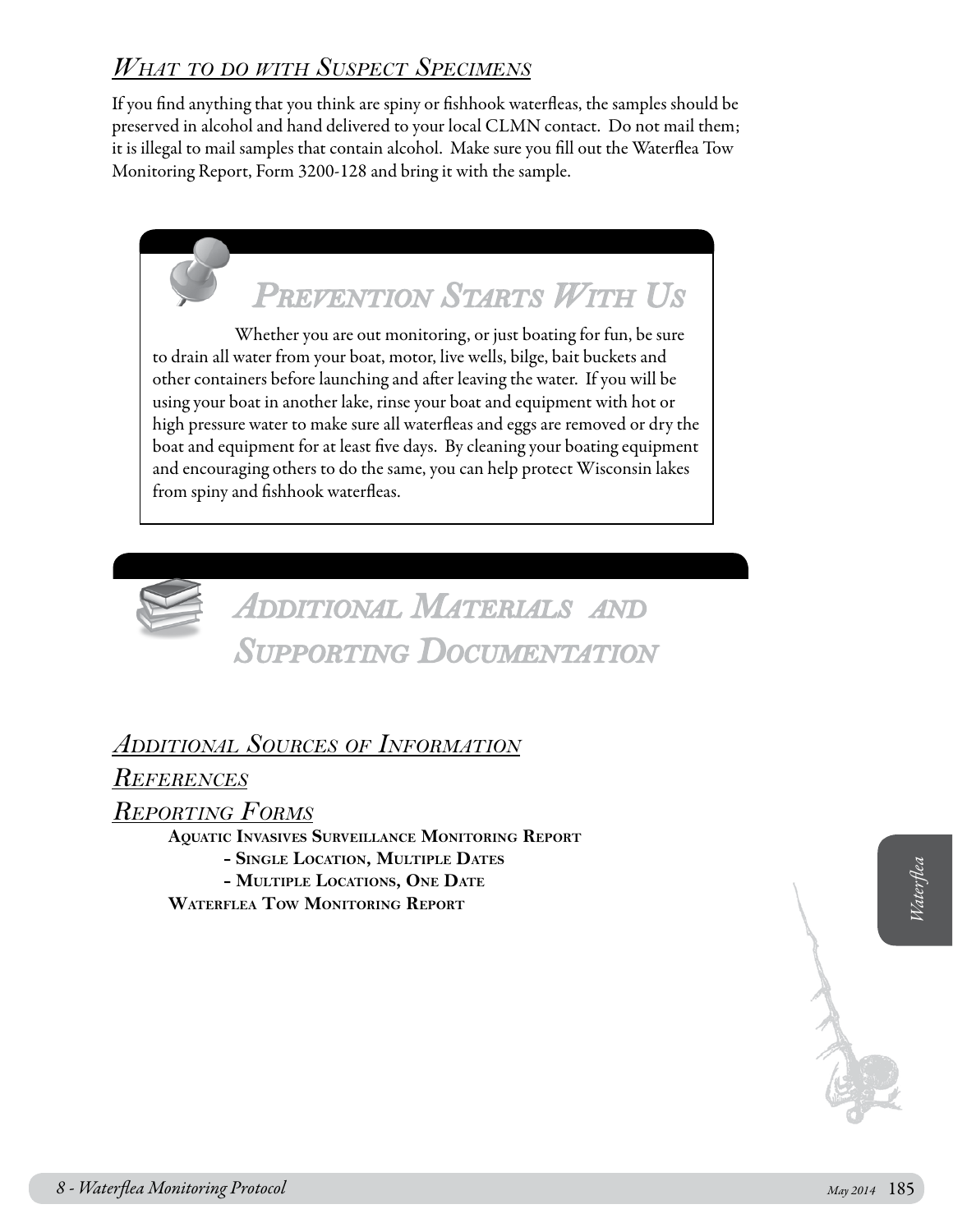## *What to do with Suspect Specimens*

If you find anything that you think are spiny or fishhook waterfleas, the samples should be preserved in alcohol and hand delivered to your local CLMN contact. Do not mail them; it is illegal to mail samples that contain alcohol. Make sure you fill out the Waterflea Tow Monitoring Report, Form 3200-128 and bring it with the sample.





## *Additional Materials and Supporting Documentation*

### *Additional Sources of Information*

*References*

*Reporting Forms*

*8 - WATERFLEA LOCATION*, MULTIPLE DATES<br>
THUTTEL LOCATIONS, ONE DATE<br>
WATERFLEA TOW MONITORING REPORT<br>
8 - Waterflea Monitoring Protocol *May 2014* 185 **Aquatic Invasives Surveillance Monitoring Report - Single Location, Multiple Dates - Multiple Locations, One Date Waterflea Tow Monitoring Report**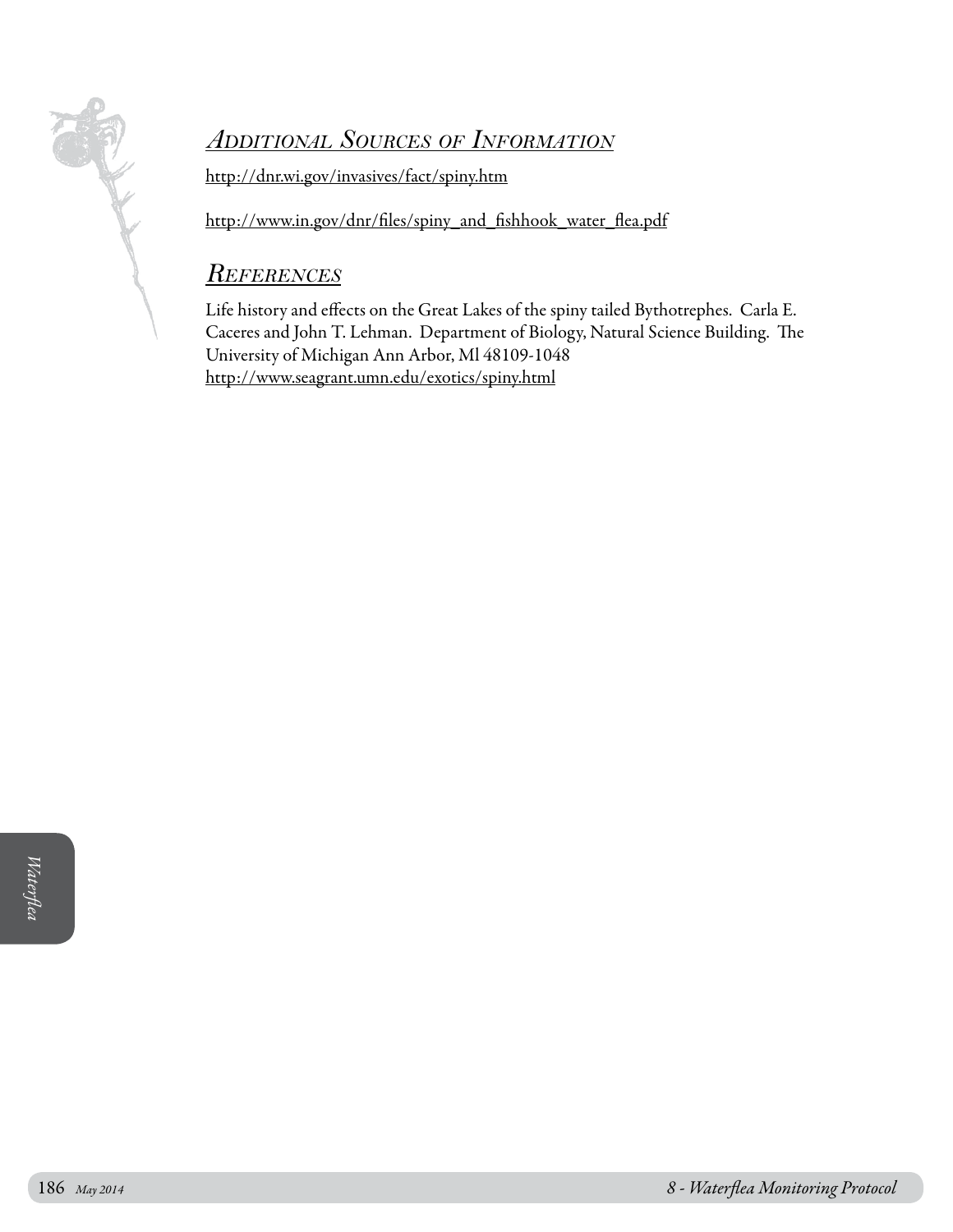

### *Additional Sources of Information*

http://dnr.wi.gov/invasives/fact/spiny.htm

http://www.in.gov/dnr/files/spiny\_and\_fishhook\_water\_flea.pdf

### *References*

Life history and effects on the Great Lakes of the spiny tailed Bythotrephes. Carla E. Caceres and John T. Lehman. Department of Biology, Natural Science Building. The University of Michigan Ann Arbor, Ml 48109-1048 http://www.seagrant.umn.edu/exotics/spiny.html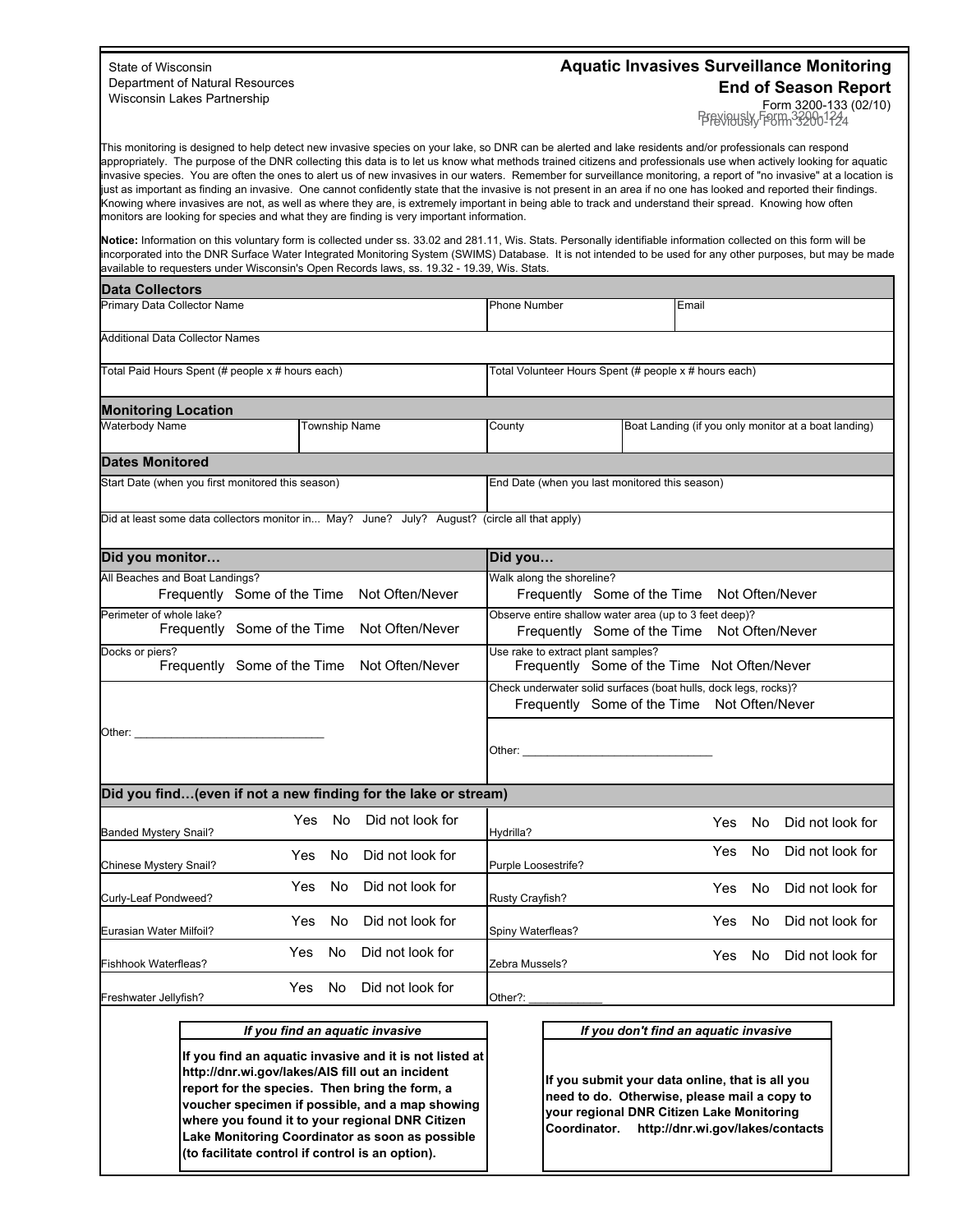#### State of Wisconsin Department of Natural Resources Wisconsin Lakes Partnership

#### **Aquatic Invasives Surveillance Monitoring End of Season Report**

Form 3200-133 (02/10) PFEYOUSLY FORM 320001224

This monitoring is designed to help detect new invasive species on your lake, so DNR can be alerted and lake residents and/or professionals can respond appropriately. The purpose of the DNR collecting this data is to let us know what methods trained citizens and professionals use when actively looking for aquatic invasive species. You are often the ones to alert us of new invasives in our waters. Remember for surveillance monitoring, a report of "no invasive" at a location is just as important as finding an invasive. One cannot confidently state that the invasive is not present in an area if no one has looked and reported their findings. Knowing where invasives are not, as well as where they are, is extremely important in being able to track and understand their spread. Knowing how often monitors are looking for species and what they are finding is very important information.

**Notice:** Information on this voluntary form is collected under ss. 33.02 and 281.11, Wis. Stats. Personally identifiable information collected on this form will be incorporated into the DNR Surface Water Integrated Monitoring System (SWIMS) Database. It is not intended to be used for any other purposes, but may be made available to requesters under Wisconsin's Open Records laws, ss. 19.32 - 19.39, Wis. Stats.

| <b>IData Collectors</b>                           |                      |                                                                                               |  |        |                                                       |                                                      |
|---------------------------------------------------|----------------------|-----------------------------------------------------------------------------------------------|--|--------|-------------------------------------------------------|------------------------------------------------------|
| Primary Data Collector Name                       |                      | <b>Phone Number</b>                                                                           |  | Email  |                                                       |                                                      |
| Additional Data Collector Names                   |                      |                                                                                               |  |        |                                                       |                                                      |
| Total Paid Hours Spent (# people x # hours each)  |                      |                                                                                               |  |        | Total Volunteer Hours Spent (# people x # hours each) |                                                      |
| <b>Monitoring Location</b>                        |                      |                                                                                               |  |        |                                                       |                                                      |
| <b>Waterbody Name</b>                             | <b>Township Name</b> |                                                                                               |  | County |                                                       | Boat Landing (if you only monitor at a boat landing) |
| <b>Dates Monitored</b>                            |                      |                                                                                               |  |        |                                                       |                                                      |
| Start Date (when you first monitored this season) |                      | End Date (when you last monitored this season)                                                |  |        |                                                       |                                                      |
|                                                   |                      | Did at least some data collectors monitor in May? June? July? August? (circle all that apply) |  |        |                                                       |                                                      |

| Did you monitor                                                |                                             |                  | Did you                                                                                                        |  |  |  |  |  |
|----------------------------------------------------------------|---------------------------------------------|------------------|----------------------------------------------------------------------------------------------------------------|--|--|--|--|--|
| All Beaches and Boat Landings?                                 | Frequently Some of the Time Not Often/Never |                  | Walk along the shoreline?<br>Frequently Some of the Time Not Often/Never                                       |  |  |  |  |  |
| Perimeter of whole lake?                                       | Frequently Some of the Time                 | Not Often/Never  | Observe entire shallow water area (up to 3 feet deep)?<br>Frequently Some of the Time Not Often/Never          |  |  |  |  |  |
| Docks or piers?                                                | Frequently Some of the Time                 | Not Often/Never  | Use rake to extract plant samples?<br>Frequently Some of the Time Not Often/Never                              |  |  |  |  |  |
|                                                                |                                             |                  | Check underwater solid surfaces (boat hulls, dock legs, rocks)?<br>Frequently Some of the Time Not Often/Never |  |  |  |  |  |
| Other:                                                         |                                             |                  |                                                                                                                |  |  |  |  |  |
| Did you find(even if not a new finding for the lake or stream) |                                             |                  |                                                                                                                |  |  |  |  |  |
| <b>Banded Mystery Snail?</b>                                   | <b>No</b><br>Yes.                           | Did not look for | <b>No</b><br>Did not look for<br>Yes<br>Hydrilla?                                                              |  |  |  |  |  |
| Chinese Mystery Snail?                                         | No.<br>Yes                                  | Did not look for | <b>No</b><br>Did not look for<br>Yes<br>Purple Loosestrife?                                                    |  |  |  |  |  |
| Curly-Leaf Pondweed?                                           | No<br>Yes                                   | Did not look for | <b>No</b><br>Did not look for<br>Yes<br>Rusty Crayfish?                                                        |  |  |  |  |  |
| Eurasian Water Milfoil?                                        | No.<br>Yes                                  | Did not look for | Did not look for<br>Yes<br>No.<br>Spiny Waterfleas?                                                            |  |  |  |  |  |
| Fishhook Waterfleas?                                           | No.<br><b>Yes</b>                           | Did not look for | Did not look for<br>No.<br>Yes<br>Zebra Mussels?                                                               |  |  |  |  |  |
| Freshwater Jellyfish?                                          | No<br>Yes                                   | Did not look for | Other?:                                                                                                        |  |  |  |  |  |

#### *If you find an aquatic invasive*

**If you find an aquatic invasive and it is not listed at http://dnr.wi.gov/lakes/AIS fill out an incident report for the species. Then bring the form, a voucher specimen if possible, and a map showing where you found it to your regional DNR Citizen Lake Monitoring Coordinator as soon as possible (to facilitate control if control is an option).**

*If you don't find an aquatic invasive*

**If you submit your data online, that is all you need to do. Otherwise, please mail a copy to your regional DNR Citizen Lake Monitoring Coordinator. http://dnr.wi.gov/lakes/contacts**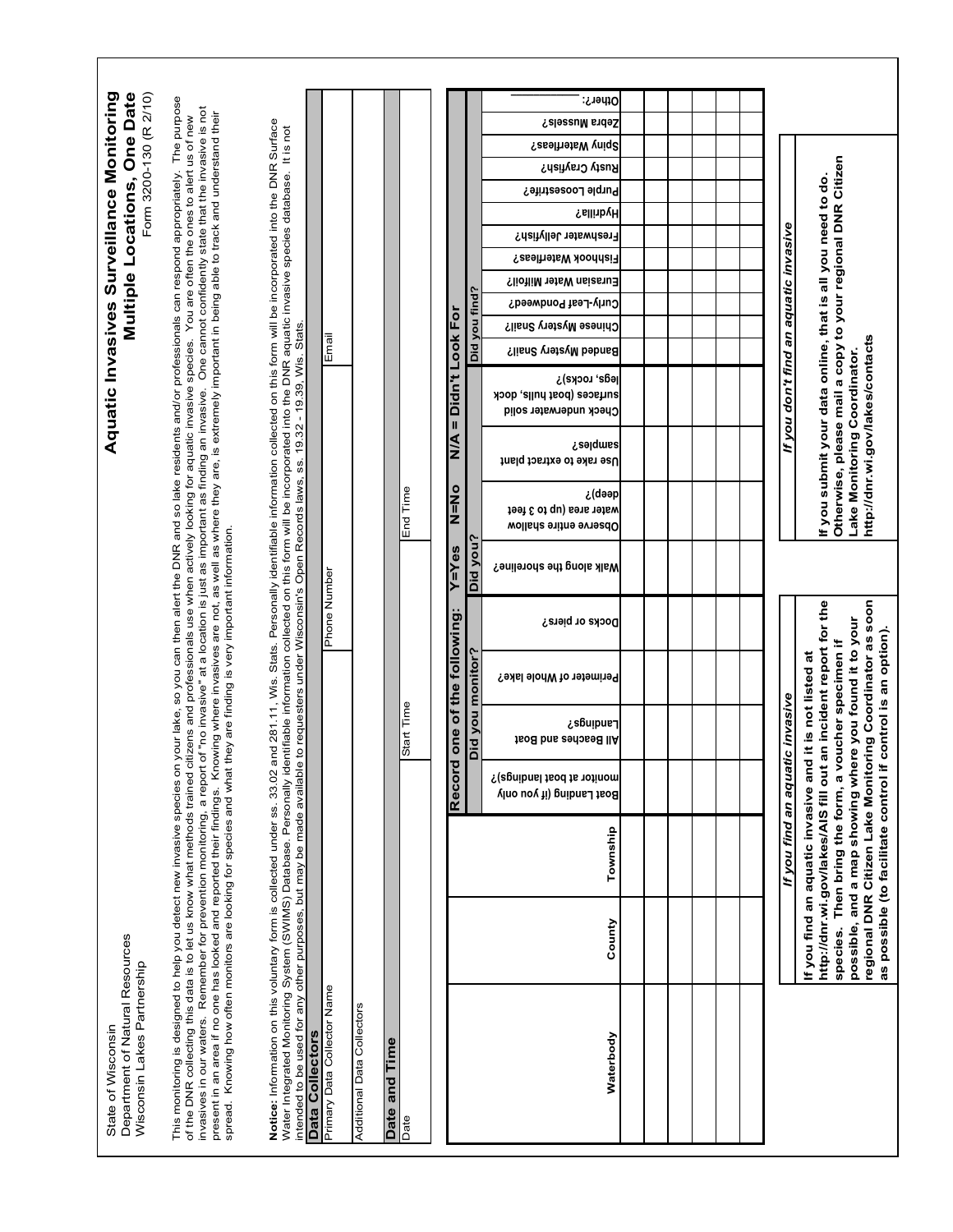|                                                       |                                                        |                                                                                                                                                                                                                                                                                                                                                                                                                                                                                                                                                                                                                                                                                                                                                                                                |                                                                                                                                                                                                                                                                                                        |                                                |                            |               |            |                         |       |                  | other?:                                                               |  |  |                                       |                                                                                                                                                                                                                                                                                                                        |
|-------------------------------------------------------|--------------------------------------------------------|------------------------------------------------------------------------------------------------------------------------------------------------------------------------------------------------------------------------------------------------------------------------------------------------------------------------------------------------------------------------------------------------------------------------------------------------------------------------------------------------------------------------------------------------------------------------------------------------------------------------------------------------------------------------------------------------------------------------------------------------------------------------------------------------|--------------------------------------------------------------------------------------------------------------------------------------------------------------------------------------------------------------------------------------------------------------------------------------------------------|------------------------------------------------|----------------------------|---------------|------------|-------------------------|-------|------------------|-----------------------------------------------------------------------|--|--|---------------------------------------|------------------------------------------------------------------------------------------------------------------------------------------------------------------------------------------------------------------------------------------------------------------------------------------------------------------------|
|                                                       | Form 3200-130 (R 2/10)<br>Multiple Locations, One Date | One cannot confidently state that the invasive is not                                                                                                                                                                                                                                                                                                                                                                                                                                                                                                                                                                                                                                                                                                                                          |                                                                                                                                                                                                                                                                                                        |                                                |                            |               |            |                         |       |                  | Zebra Mussels?                                                        |  |  |                                       |                                                                                                                                                                                                                                                                                                                        |
|                                                       |                                                        |                                                                                                                                                                                                                                                                                                                                                                                                                                                                                                                                                                                                                                                                                                                                                                                                |                                                                                                                                                                                                                                                                                                        |                                                |                            |               |            |                         |       |                  | Spiny Waterfleas?                                                     |  |  |                                       |                                                                                                                                                                                                                                                                                                                        |
|                                                       |                                                        |                                                                                                                                                                                                                                                                                                                                                                                                                                                                                                                                                                                                                                                                                                                                                                                                |                                                                                                                                                                                                                                                                                                        |                                                |                            |               |            |                         |       |                  | Rusty Crayfish?                                                       |  |  |                                       |                                                                                                                                                                                                                                                                                                                        |
|                                                       |                                                        |                                                                                                                                                                                                                                                                                                                                                                                                                                                                                                                                                                                                                                                                                                                                                                                                |                                                                                                                                                                                                                                                                                                        |                                                |                            |               |            |                         |       |                  | Purple Loosestrife?                                                   |  |  |                                       |                                                                                                                                                                                                                                                                                                                        |
|                                                       |                                                        |                                                                                                                                                                                                                                                                                                                                                                                                                                                                                                                                                                                                                                                                                                                                                                                                |                                                                                                                                                                                                                                                                                                        |                                                |                            |               |            |                         |       |                  | <b>Hydrilla?</b>                                                      |  |  |                                       |                                                                                                                                                                                                                                                                                                                        |
|                                                       |                                                        |                                                                                                                                                                                                                                                                                                                                                                                                                                                                                                                                                                                                                                                                                                                                                                                                |                                                                                                                                                                                                                                                                                                        |                                                |                            |               |            |                         |       |                  | Freshwater Jellyfish?                                                 |  |  |                                       |                                                                                                                                                                                                                                                                                                                        |
|                                                       |                                                        |                                                                                                                                                                                                                                                                                                                                                                                                                                                                                                                                                                                                                                                                                                                                                                                                |                                                                                                                                                                                                                                                                                                        |                                                |                            |               |            |                         |       |                  | Fishhook Waterfleas?                                                  |  |  |                                       |                                                                                                                                                                                                                                                                                                                        |
|                                                       |                                                        |                                                                                                                                                                                                                                                                                                                                                                                                                                                                                                                                                                                                                                                                                                                                                                                                |                                                                                                                                                                                                                                                                                                        |                                                |                            |               |            |                         |       |                  | Eurasian Water Milfoil?                                               |  |  |                                       |                                                                                                                                                                                                                                                                                                                        |
|                                                       |                                                        |                                                                                                                                                                                                                                                                                                                                                                                                                                                                                                                                                                                                                                                                                                                                                                                                |                                                                                                                                                                                                                                                                                                        |                                                |                            |               |            |                         |       |                  | Curly-Leaf Pondweed?                                                  |  |  |                                       |                                                                                                                                                                                                                                                                                                                        |
|                                                       |                                                        |                                                                                                                                                                                                                                                                                                                                                                                                                                                                                                                                                                                                                                                                                                                                                                                                |                                                                                                                                                                                                                                                                                                        |                                                |                            |               |            |                         |       | Did you find?    | Chinese Mystery Snail?                                                |  |  |                                       |                                                                                                                                                                                                                                                                                                                        |
|                                                       |                                                        |                                                                                                                                                                                                                                                                                                                                                                                                                                                                                                                                                                                                                                                                                                                                                                                                |                                                                                                                                                                                                                                                                                                        |                                                |                            |               |            |                         |       |                  |                                                                       |  |  |                                       |                                                                                                                                                                                                                                                                                                                        |
|                                                       |                                                        |                                                                                                                                                                                                                                                                                                                                                                                                                                                                                                                                                                                                                                                                                                                                                                                                |                                                                                                                                                                                                                                                                                                        | Email                                          |                            |               |            |                         |       |                  | <b>Banded Mystery Snail?</b>                                          |  |  |                                       |                                                                                                                                                                                                                                                                                                                        |
| Aquatic Invasives Surveillance Monitoring             |                                                        |                                                                                                                                                                                                                                                                                                                                                                                                                                                                                                                                                                                                                                                                                                                                                                                                | and 281.11, Wis. Stats. Personally identifiable information collected on this form will be incorporated into the DNR Surface<br>entifiable information collected on this form will be incorporated into the DNR aquatic invasive species database. It is not                                           |                                                |                            |               |            | = Didn't Look For       |       |                  | legs, rocks)?<br>surfaces (boat hulls, dock<br>Check underwater solid |  |  | If you don't find an aquatic invasive | Otherwise, please mail a copy to your regional DNR Citizen<br>If you submit your data online, that is all you need to do.<br>http://dnr.wi.gov/lakes/contacts<br>Lake Monitoring Coordinator                                                                                                                           |
|                                                       |                                                        |                                                                                                                                                                                                                                                                                                                                                                                                                                                                                                                                                                                                                                                                                                                                                                                                |                                                                                                                                                                                                                                                                                                        |                                                |                            |               |            | <b>A/N</b>              |       |                  | Salqmas<br>Use rake to extract plant                                  |  |  |                                       |                                                                                                                                                                                                                                                                                                                        |
|                                                       |                                                        |                                                                                                                                                                                                                                                                                                                                                                                                                                                                                                                                                                                                                                                                                                                                                                                                |                                                                                                                                                                                                                                                                                                        |                                                |                            |               | End Time   | N=No                    |       |                  | dəəp) ئ<br>vater area (up to 3 feet<br>Wollsn's entire shallow        |  |  |                                       |                                                                                                                                                                                                                                                                                                                        |
|                                                       |                                                        |                                                                                                                                                                                                                                                                                                                                                                                                                                                                                                                                                                                                                                                                                                                                                                                                |                                                                                                                                                                                                                                                                                                        |                                                |                            |               |            | <b>Y=Yes</b>            |       | Did you?         | <b>Nalk along the shoreline?</b>                                      |  |  |                                       |                                                                                                                                                                                                                                                                                                                        |
|                                                       |                                                        | they are finding is very important information.                                                                                                                                                                                                                                                                                                                                                                                                                                                                                                                                                                                                                                                                                                                                                |                                                                                                                                                                                                                                                                                                        | Phone Number                                   |                            |               |            |                         |       |                  | Docks or piers?                                                       |  |  |                                       |                                                                                                                                                                                                                                                                                                                        |
|                                                       |                                                        |                                                                                                                                                                                                                                                                                                                                                                                                                                                                                                                                                                                                                                                                                                                                                                                                |                                                                                                                                                                                                                                                                                                        |                                                |                            |               |            |                         |       |                  | Perimeter of Whole lake?                                              |  |  |                                       |                                                                                                                                                                                                                                                                                                                        |
|                                                       |                                                        |                                                                                                                                                                                                                                                                                                                                                                                                                                                                                                                                                                                                                                                                                                                                                                                                |                                                                                                                                                                                                                                                                                                        |                                                |                            |               | Start Time | d one of the following: |       | Did you monitor? | ¶s6uipue; ¿<br>All Beaches and Boat                                   |  |  |                                       | an incident report for the<br>d it is not listed at                                                                                                                                                                                                                                                                    |
|                                                       |                                                        |                                                                                                                                                                                                                                                                                                                                                                                                                                                                                                                                                                                                                                                                                                                                                                                                |                                                                                                                                                                                                                                                                                                        |                                                |                            |               |            |                         | Recor |                  | monitor at boat landings)?<br>Boat Landing (if you only               |  |  |                                       |                                                                                                                                                                                                                                                                                                                        |
|                                                       |                                                        |                                                                                                                                                                                                                                                                                                                                                                                                                                                                                                                                                                                                                                                                                                                                                                                                |                                                                                                                                                                                                                                                                                                        |                                                |                            |               |            |                         |       |                  | Township                                                              |  |  | If you find an aquatic invasive       |                                                                                                                                                                                                                                                                                                                        |
|                                                       |                                                        |                                                                                                                                                                                                                                                                                                                                                                                                                                                                                                                                                                                                                                                                                                                                                                                                |                                                                                                                                                                                                                                                                                                        |                                                |                            |               |            |                         |       |                  | County                                                                |  |  |                                       | regional DNR Citizen Lake Monitoring Coordinator as soon<br>possible, and a map showing where you found it to your<br>as possible (to facilitate control if control is an option)<br>species. Then bring the form, a voucher specimen if<br>If you find an aquatic invasive an<br>http://dnr.wi.gov/lakes/AIS fill out |
| Department of Natural Resources<br>State of Wisconsin | Wisconsin Lakes Partnership                            | This monitoring is designed to help you detect new invasive species on your lake, so you can then alent the DNR and so lake residents and/or professionals can respond appropriately. The purpose<br>present in an area if no one has looked and reported their findings. Knowing where invasives are not, as well as where they are, is extremely important in being able to track and understand their<br>of the DNR collecting this data is to let us know what methods trained citizens and professionals use when actively looking for aquatic invasive species. You are often the ones to alert us of new<br>invasives in our waters. R<br>spread. Knowing how often monitors are looking for species and what<br>of the DNR collecting this data is to let us know what methods trained | ntended to be used for any other purposes, but may be made available to requesters under Wisconsin's Open Records laws, ss. 19.32 - 19.39, Wis. Stats<br>Notice: Information on this voluntary form is collected under ss. 33.02<br>Water Integrated Monitoring System (SWIMS) Database. Personally id | Primary Data Collector Name<br>Data Collectors | Additional Data Collectors | Date and Time |            |                         |       |                  | Waterbody                                                             |  |  |                                       |                                                                                                                                                                                                                                                                                                                        |
|                                                       |                                                        |                                                                                                                                                                                                                                                                                                                                                                                                                                                                                                                                                                                                                                                                                                                                                                                                |                                                                                                                                                                                                                                                                                                        |                                                |                            |               | Date       |                         |       |                  |                                                                       |  |  |                                       |                                                                                                                                                                                                                                                                                                                        |

٦